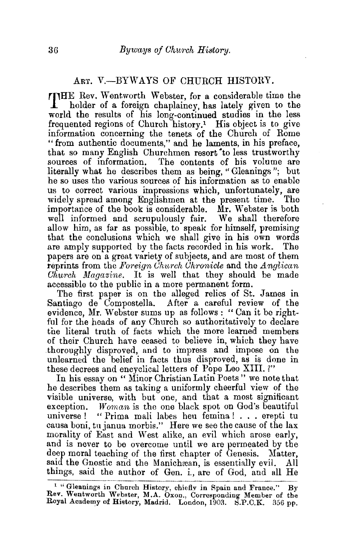## ART. V.-BYWAYS OF CHURCH HISTORY.

THE Rev. Wentworth Webster, for a considerable time the holder of a foreign chaplaincy, has lately given to the world the results of his long-continued studies in the less frequented regions of Church history.<sup>1</sup> His object is to give information concerning the tenets of the Church of Rome "from authentic documents," and he laments, in his preface, that so many English Churchmen resort to less trustworthy sources of information. The contents of his volume are literally what he describes them as being, "Gleanings"; but he so uses the various sources of his information as to enable us to correct various impressions which, unfortunately, are widely spread among Englishmen at the present time. The widely spread among Englishmen at the present time. importance of the book is considerable. Mr. Webster is both well informed and scrupulously fair. We shall therefore allow him, as far as possible, to speak for himself, premising that the conclusions which we shall give in his own words are amply supported by the facts recorded in his work. The are amply supported by the facts recorded in his work. papers are on a great variety of subjects, and are most of them **reprints from the** *Foreign Church Chronicle* **and the** *Anglican Church Magazine.* It is well that they should be made accessible to the public in a more permanent form.

The first paper is on the alleged relics of St. James in Santiago de Compostella. After a careful review of the evidence, Mr. Webster sums up as follows : " Can it be rightful for the heads of any Church so authoritatively to declare the literal truth of facts which the more learned members of their Church have ceased to believe in, which they have thoroughly disproved, and to impress and impose on the unlearned the belief in facts thus disproved, as is done in these decrees and encyclical letters of Pope Leo XIII. ?"

In his essay on " Minor Christian Latin Poets" we note that he describes them as taking a uniformly cheerful view of the visible universe, with but one, and that a most significant exception. *Woman* is the one black spot on God's beautiful universe ! " Prima mali labes heu femina ! . . . erepti tu causa boni, tu janua morbis." Here we see the cause of the lax morality of East and West alike, an evil whieh arose early, and is never to be overcome until we are permeated by the deep moral teaching of the first chapter of Genesis. Matter, said the Gnostic and the Manichean, is essentially evil. All things, said the author of Gen. i., are of God, and all He

<sup>&</sup>lt;sup>1 "</sup>Gleanings in Church History, chiefly in Spain and France." By Rev. Wentworth Webster, M.A. Oxon., Corresponding Member of the Royal Academy of History, Madrid. London,  $1903.$  S.P.C.K. 356 pp.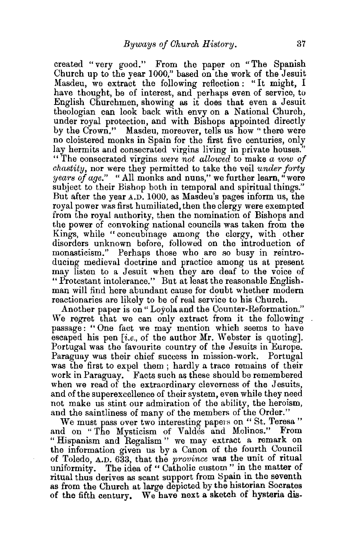created "very good." From the paper on "The Spanish Church up to the year 1000," based on the work of the Jesuit Masdeu, we extract the following reflection : "It might, I have thought, be of interest, and perhaps even of service, to English Churchmen, showing as it does that even a Jesuit theologian can look back with envy on a National Church, under royal protection, and with Bishops appointed directly by the Crown." Masdeu, moreover, tells us how "there were no cloistered monks in Spain for the first five centuries, only lay hermits and consecrated virgins living in private houses. "The consecrated virgins *were not allowed* to make *a vow of chastity,* nor were they permitted to take the veil *under forty years of age."* "All monks and nuns," we further learn," were subject to their Bishop both in temporal and spiritual things." But after the year A.D. 1000, as Masdeu's pages inform us, the royal power was first humiliated, then the clergy were exempted from the royal authority, then the nomination of Bishops and the power of convoking national councils was taken from the Kings, while "concubinage among the clergy, with other disorders unknown before, followed on the introduction of monasticism." Perhaps those who are so busy in reintroducing medieval doctrine and practice among us at present may listen to a Jesuit when they are deaf to the voice of "Protestant intolerance." But at least the reasonable Englishman will find here abundant cause for doubt whether modem reactionaries are likely to be of real service to his Church.

Another paper is on" Loyola and the Counter-Reformation." We regret that we can only extract from it the following passage: " One fact we may mention which seems to have escaped his pen *[i.e.,* of the author Mr. Webster is quoting]. Portugal was the favourite country of the Jesuits in Europe. Paraguay was their chief success in mission-work. Portugal was the first to expel them ; hardly a trace remains of their work in Paraguay. Facts such as these should be remembered when we read of the extraordinary cleverness of the Jesuits, and of the superexcellence of their system, even while they need not make us stint our admiration of the ability, the heroism, and the saintliness of many of the members of the Order."

We must pass over two interesting papers on " St. Teresa " and on "The Mysticism of Valdes and Molinos." From "Hispanism and Regalism" we may extract a remark on the information given us by a Canon of the fourth Council of Toledo, A.D. 633, that the *province* was the unit of ritual uniformity. The idea of "Catholic custom" in the matter of ritual thus derives as scant support from Spain in the seventh as from the Church at large depicted by the historian Socrates of the fifth century. We have next a sketch of hysteria dis-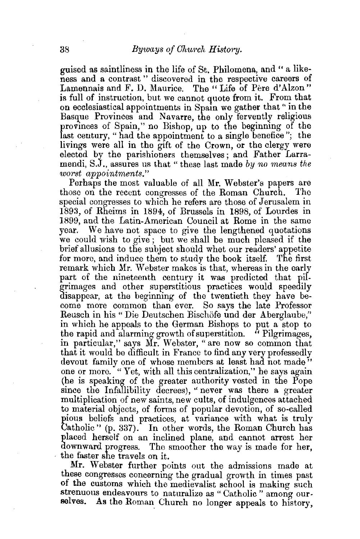guised as saintliness in the life of St. Philomena, and " a likeness and a contrast " discovered in the respective careers of Lamennais and F. D. Maurice. The "Life of Pere d'Alzon" is full of instruction, but we cannot quote from it. From that on ecclesiastical appointments in Spain we gather that " in the Basque Provinces and Navarre, the only fervently religious provinces of Spain," no Bishop, up to the beginning of the last century, " had the appointment to a single benefice"; the livings were all in the gift of the Crown, or the clergy were elected by the parishioners themselves; and Father Larramendi, S.J., assures us that" these last made *by no means the worst appointments."* 

Perhaps the most valuable of all Mr. Webster's papers are those on the recent congresses of the Roman Church. special congresses to which he refers are those of Jerusalem in 1893, of Rheims in 1894, of Brussels in 1898, of Lourdes in 1899, and the Latin-American Council at Rome in the same year. We have not space to give the lengthened quotations we could wish to give; but we shall be much pleased if the brief allusions to the subject should whet our readers' appetite for more, and induce them to study the book itself. The first remark which Mr. Webster makes is that, whereas in the early part of the nineteenth century it was predicted that pilgrimages and other superstitious practices would speedily disappear, at the beginning of the twentieth they have become more common than ever. So says the late Professor Reusch in his " Die Deutschen Bischöfe und der Aberglaube," in which he appeals to the German Bishops to put a stop to the rapid and alarming growth of superstition. " Pilgrimages, in particular," says Mr. Webster, "are now so common that that it would be difficult in France to find any very professedly devout family one of whose members at least had not made" one or more. "Yet, with all this centralization," he says again (he is speaking of the greater authority vested in the Pope since the Infallibility decrees), "never was there a greater multiplication of new saints, new cults, of indulgences attached to material objects, of forms of popular devotion, of so-called pious beliefs and practices, at variance with what is truly Catholic" (p. 337). In other words, the Roman Church has placed herself on an inclined plane, and cannot arrest her downward progress. The smoother the way is made for her, the faster she travels on it.

Mr. Webster further points out the admissions made at these congresses concerning the gradual growth in times past of the customs which the medievalist school is making such strenuous endeavours to naturalize as " Catholic " among ourselves. As the Roman Church no longer appeals to history,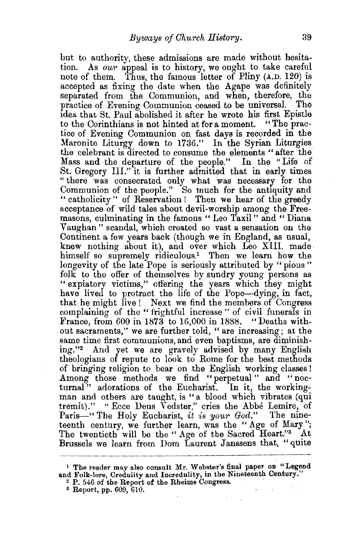but to authority, these admissions are made without hesita· tion. *As our* appeal is to history, we ought to take careful note of them. Thus, the famous letter of Pliny (A.D. 120) is accepted as fixing the date when the Agape was definitely separated from the Communion, and when, therefore, the practice of Evening Communion ceased to be universal. The practice of Evening Communion ceased to be universal. Idea that St. Paul abolished it after he wrote his first Epistle to the Corinthians is not hinted at for a moment. " The practice of Evening Communion on fast days is recorded in the Maronite Liturgy down to 1736." In the Syrian Liturgies the celebrant is directed to consume the elements "after the Mass and the departure of the people." In the "Life of St. Gregory III." it is further admitted that in early times " there was consecrated only what was necessary for the Communion of the people." So much for the antiquity and " catholicity " of Reservation ! Then we hear of the greedy acceptance of wild tales about devil-worship among the Freemasons, culminating in the famous " Leo Taxil " and " Diana Vaughan " scandal, which created so vast a sensation on the Continent a fewyears back (though we in England, as usual, knew nothing about it), and over which Leo XIII. madehimself so supremely ridiculous.<sup>1</sup> Then we learn how the longevity of the late Pope is seriously attributed by "pious" folk to the offer of themselves by sundry young persons as " expiatory victims," offering the years which they might have lived to protract the life of the Pope—dying, in fact, that he might live! Next we find the members of Congress complaining of the " frightful increase " of civil funerals in France, from 600 in 1873 to 16,000 in 1888. "Deaths without sacraments," we are further told, " are increasing; at the same time first communions, and even baptisms, are diminishing."<sup>2</sup> And yet we are gravely advised by many English theologians of repute to look to Rome for the best methods of bringing religion to bear on the English working classes I Among those methods we find "perpetual" and "nocturnal" adorations of the Eucharist. In it, the workingman and others are taught, is "a blood which vibrates (qui tremit)." "Ecce Deus Vedster," cries the Abbe Lemire, of Paris-" The Holy Eucharist, *it is your God.*" The nineteenth century, we further learn, was the "Age of Mary"; The twentieth will be the " Age of the Sacred Heart."3 At Brussels we learn from Dom Laurent Janssens that, "quite

<sup>1</sup>The reader may also consult Mr. Webster's final paper on "Legend and Folk-lore, Credulity and Incredulity, in the Nineteenth Century."<br>
<sup>2</sup> P. 546 of the Report of the Rheims Congress.<br>
<sup>3</sup> Report, pp. 609, 610.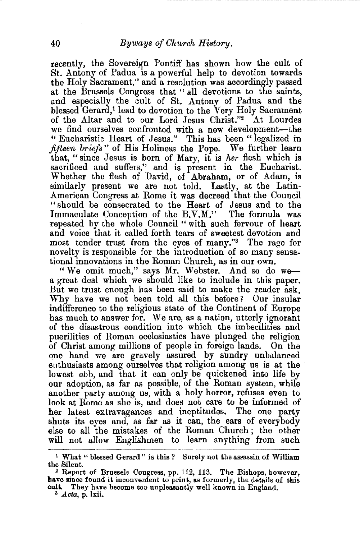recently, the Sovereign Pontiff has shown how the cult of St. Antony of Padua is a powerful help to devotion towards the Holy Sacrament," and a resolution was accordingly passed at the Brussels Congress that " all devotions to the saints, and especially the cult of St. Antony of Padua and the blessed Gerard,<sup>1</sup> lead to devotion to the Very Holy Sacrament of the Altar and to our Lord Jesus Christ."2 At Lourdes we find ourselves confronted with a new development-the " Eucharistic Heart of Jesus." This has been " legalized in *fifteen briefs* " of His Holiness the Pope. We further learn that, "since Jesus is born of Mary, it is *her* flesh which is sacrificed and suffers," and is present in the Eucharist. Whether the flesh of David, of Abraham, or of Adam, is similarly present we are not told. Lastly, at the Latin-American Congress at Rome it was decreed that the Council "should be consecrated to the Heart of Jesus and to the Immaculate Conception of the B.V.M." The formula was repeated by the whole Council " with such fervour of heart and voice that it called forth tears of sweetest devotion and most tender trust from the eyes of many."3 The rage for novelty is responsible for the introduction of so many sensational innovations in the Roman Church, as in our own.

"We omit much," says Mr. Webster. And so do wea great deal which we should like to include in this paper. But we trust enough has been said to make the reader ask, Why have we not been told all this before? Our insular indifference to the religious state of the Continent of Europe has much to answer for. We are, as a nation, utterly ignorant of the disastrous condition into which the imbecilities and puerilities of Roman ecclesiastics have plunged the religion of Christ among millions of people in foreign lands. On the one hand we are gravely assured by sundry unbalanced enthusiasts among ourselves that religion among us is at the lowest ebb, and that it can only be quickened into life by our adoption, as far as possible, of the Roman system, while another party among us, with a holy horror, refuses even to look at Rome as she is, and does not care to be informed of her latest extravagances and ineptitudes. The one party shuts its eyes and, as far as it can, the ears of everybody else to all the mistakes of the Roman Church ; the other will not allow Englishmen to learn anything from such

<sup>&</sup>lt;sup>1</sup> What " blessed Gerard" is this ? Surely not the assassin of William the Silent.

 $2$  Report of Brussels Congress, pp. 112, 113. The Bishops, however, have since found it inconvenient to print, as formerly, the details of this cult. They have become too unpleasantly well known in England. 3 *Acta,* p. lxii.